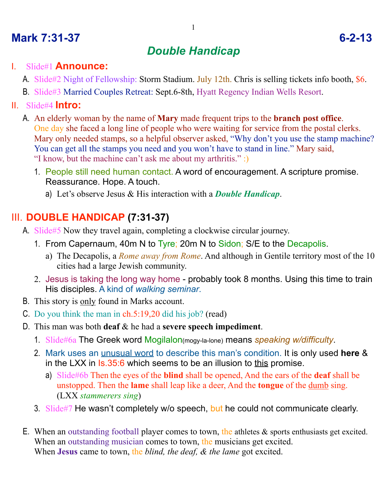# **Mark 7:31-37 6-2-13**

# *Double Handicap*

#### I. Slide#1 **Announce:**

A. Slide#2 Night of Fellowship: Storm Stadium. July 12th. Chris is selling tickets info booth, \$6.

B. Slide#3 Married Couples Retreat: Sept.6-8th, Hyatt Regency Indian Wells Resort.

#### II. Slide#4 **Intro:**

- A. An elderly woman by the name of **Mary** made frequent trips to the **branch post office**. One day she faced a long line of people who were waiting for service from the postal clerks. Mary only needed stamps, so a helpful observer asked, "Why don't you use the stamp machine? You can get all the stamps you need and you won't have to stand in line." Mary said, "I know, but the machine can't ask me about my arthritis." :)
	- 1. People still need human contact. A word of encouragement. A scripture promise. Reassurance. Hope. A touch.
		- a) Let's observe Jesus & His interaction with a *Double Handicap*.

### III. **DOUBLE HANDICAP (7:31-37)**

- A. Slide#5 Now they travel again, completing a clockwise circular journey.
	- 1. From Capernaum, 40m N to Tyre; 20m N to Sidon; S/E to the Decapolis.
		- a) The Decapolis, a *Rome away from Rome*. And although in Gentile territory most of the 10 cities had a large Jewish community.
	- 2. Jesus is taking the long way home probably took 8 months. Using this time to train His disciples. A kind of *walking seminar*.
- B. This story is only found in Marks account.
- C. Do you think the man in ch.5:19,20 did his job? (read)
- D. This man was both **deaf** & he had a **severe speech impediment**.
	- 1. Slide#6a The Greek word Mogilalon(mogy-la-lone) means *speaking w/difficulty*.
	- 2. Mark uses an unusual word to describe this man's condition. It is only used **here** & in the LXX in Is.35:6 which seems to be an illusion to this promise.
		- a) Slide#6b Then the eyes of the **blind** shall be opened, And the ears of the **deaf** shall be unstopped. Then the **lame** shall leap like a deer, And the **tongue** of the dumb sing. (LXX *stammerers sing*)
	- 3. Slide#7 He wasn't completely w/o speech, but he could not communicate clearly.
- E. When an outstanding football player comes to town, the athletes & sports enthusiasts get excited. When an outstanding musician comes to town, the musicians get excited. When **Jesus** came to town, the *blind, the deaf, & the lame* got excited.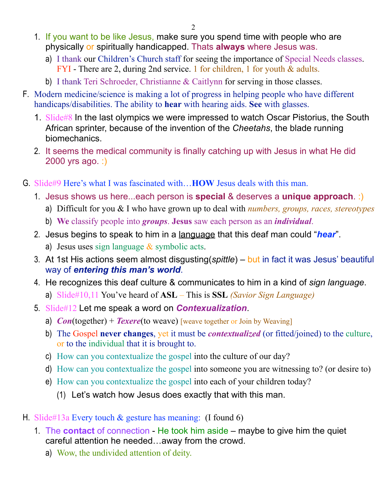- 1. If you want to be like Jesus, make sure you spend time with people who are physically or spiritually handicapped. Thats **always** where Jesus was.
	- a) I thank our Children's Church staff for seeing the importance of Special Needs classes. FYI - There are 2, during 2nd service. 1 for children, 1 for youth & adults.
	- b) I thank Teri Schroeder, Christianne & Caitlynn for serving in those classes.
- F. Modern medicine/science is making a lot of progress in helping people who have different handicaps/disabilities. The ability to **hear** with hearing aids. **See** with glasses.
	- 1. Slide#8 In the last olympics we were impressed to watch Oscar Pistorius, the South African sprinter, because of the invention of the *Cheetahs*, the blade running biomechanics.
	- 2. It seems the medical community is finally catching up with Jesus in what He did 2000 yrs ago. :)
- G. Slide#9 Here's what I was fascinated with…**HOW** Jesus deals with this man.
	- 1. Jesus shows us here...each person is **special** & deserves a **unique approach**. :)
		- a) Difficult for you & I who have grown up to deal with *numbers, groups, races, stereotypes*
		- b) **We** classify people into *groups*. **Jesus** saw each person as an *individual*.
	- 2. Jesus begins to speak to him in a language that this deaf man could "*hear*".
		- a) Jesus uses sign language  $&$  symbolic acts.
	- 3. At 1st His actions seem almost disgusting(*spittle*) but in fact it was Jesus' beautiful way of *entering this man's world*.
	- 4. He recognizes this deaf culture & communicates to him in a kind of *sign language*.
		- a) Slide#10,11 You've heard of **ASL** This is **SSL** *(Savior Sign Language)*
	- 5. Slide#12 Let me speak a word on *Contexualization*.
		- a) *Con*(together) + *Texere*(to weave) [weave together or Join by Weaving]
		- b) The Gospel **never changes**, yet it must be *contextualized* (or fitted/joined) to the culture, or to the individual that it is brought to.
		- c) How can you contextualize the gospel into the culture of our day?
		- d) How can you contextualize the gospel into someone you are witnessing to? (or desire to)
		- e) How can you contextualize the gospel into each of your children today?
			- (1) Let's watch how Jesus does exactly that with this man.
- H. Slide#13a Every touch  $&$  gesture has meaning: (I found 6)
	- 1. The **contact** of connection He took him aside maybe to give him the quiet careful attention he needed…away from the crowd.
		- a) Wow, the undivided attention of deity.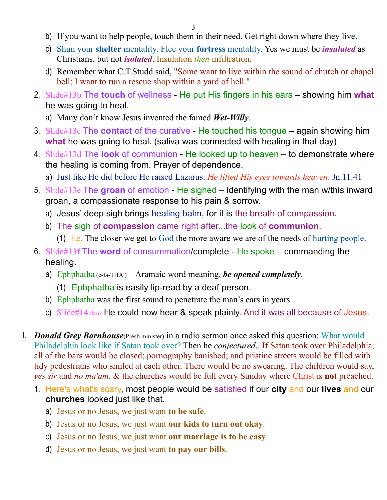- b) If you want to help people, touch them in their need. Get right down where they live.
- c) Shun your **shelter** mentality. Flee your **fortress** mentality. Yes we must be *insulated* as Christians, but not *isolated*. Insulation *then* infiltration.
- d) Remember what C.T.Studd said, "Some want to live within the sound of church or chapel bell; I want to run a rescue shop within a yard of hell."
- 2. Slide#13b The **touch** of wellness He put His fingers in his ears showing him **what** he was going to heal.
	- a) Many don't know Jesus invented the famed *Wet-Willy*.
- 3. Slide#13c The **contact** of the curative He touched his tongue again showing him **what** he was going to heal. (saliva was connected with healing in that day)
- 4. Slide#13d The **look** of communion He looked up to heaven to demonstrate where the healing is coming from. Prayer of dependence.
	- a) Just like He did before He raised Lazarus. *He lifted His eyes towards heaven*. Jn.11:41
- 5. Slide#13e The **groan** of emotion He sighed identifying with the man w/this inward groan, a compassionate response to his pain & sorrow.
	- a) Jesus' deep sigh brings healing balm, for it is the breath of compassion.
	- b) The sigh of **compassion** came right after...the look of **communion**.
		- (1) i.e. The closer we get to God the more aware we are of the needs of hurting people.
- 6. Slide#13f The **word** of consummation/complete He spoke commanding the healing.
	- a) Ephphatha (e-fa-THA') Aramaic word meaning, *be opened completely*.
		- (1) Ephphatha is easily lip-read by a deaf person.
	- b) Ephphatha was the first sound to penetrate the man's ears in years.
	- c) Slide#14blank He could now hear & speak plainly. And it was all because of Jesus.
- I. *Donald Grey Barnhouse*(Presb minister) in a radio sermon once asked this question: What would Philadelphia look like if Satan took over? Then he *conjectured*...If Satan took over Philadelphia, all of the bars would be closed; pornography banished; and pristine streets would be filled with tidy pedestrians who smiled at each other. There would be no swearing. The children would say, *yes sir* and *no ma'am*. & the churches would be full every Sunday where Christ is **not** preached.
	- 1. Here's what's scary, most people would be satisfied if our **city** and our **lives** and our **churches** looked just like that.
		- a) Jesus or no Jesus, we just want **to be safe**.
		- b) Jesus or no Jesus, we just want **our kids to turn out okay**.
		- c) Jesus or no Jesus, we just want **our marriage is to be easy**.
		- d) Jesus or no Jesus, we just want **to pay our bills**.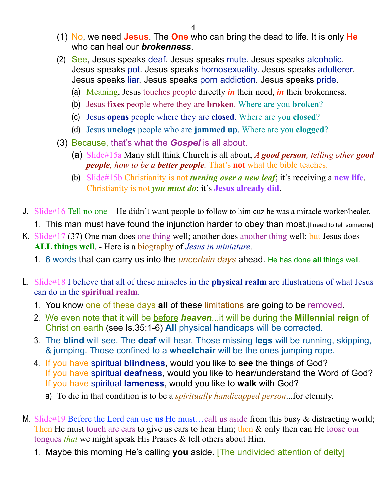- (1) No, we need **Jesus**. The **One** who can bring the dead to life. It is only **He** who can heal our *brokenness*.
- (2) See, Jesus speaks deaf. Jesus speaks mute. Jesus speaks alcoholic. Jesus speaks pot. Jesus speaks homosexuality. Jesus speaks adulterer. Jesus speaks liar. Jesus speaks porn addiction. Jesus speaks pride.
	- (a) Meaning, Jesus touches people directly *in* their need, *in* their brokenness.
	- (b) Jesus **fixes** people where they are **broken**. Where are you **broken**?
	- (c) Jesus **opens** people where they are **closed**. Where are you **closed**?
	- (d) Jesus **unclogs** people who are **jammed up**. Where are you **clogged**?
- (3) Because, that's what the *Gospel* is all about.
	- (a) Slide#15a Many still think Church is all about, *A good person, telling other good people, how to be a better people.* That's **not** what the bible teaches.
	- (b) Slide#15b Christianity is not *turning over a new leaf*; it's receiving a **new life**. Christianity is not *you must do*; it's **Jesus already did**.
- J. Slide#16 Tell no one He didn't want people to follow to him cuz he was a miracle worker/healer.
	- 1. This man must have found the injunction harder to obey than most. [I need to tell someone]
- K. Slide#17 (37) One man does one thing well; another does another thing well; but Jesus does **ALL things well**. - Here is a biography of *Jesus in miniature*.
	- 1. 6 words that can carry us into the *uncertain days* ahead. He has done **all** things well.
- L. Slide#18 I believe that all of these miracles in the **physical realm** are illustrations of what Jesus can do in the **spiritual realm**.
	- 1. You know one of these days **all** of these limitations are going to be removed.
	- 2. We even note that it will be before *heaven*...it will be during the **Millennial reign** of Christ on earth (see Is.35:1-6) **All** physical handicaps will be corrected.
	- 3. The **blind** will see. The **deaf** will hear. Those missing **legs** will be running, skipping, & jumping. Those confined to a **wheelchair** will be the ones jumping rope.
	- 4. If you have spiritual **blindness**, would you like to **see** the things of God? If you have spiritual **deafness**, would you like to **hear**/understand the Word of God? If you have spiritual **lameness**, would you like to **walk** with God?
		- a) To die in that condition is to be a *spiritually handicapped person*...for eternity.
- M. Slide#19 Before the Lord can use **us** He must…call us aside from this busy & distracting world; Then He must touch are ears to give us ears to hear Him; then & only then can He loose our tongues *that* we might speak His Praises & tell others about Him.
	- 1. Maybe this morning He's calling **you** aside. [The undivided attention of deity]